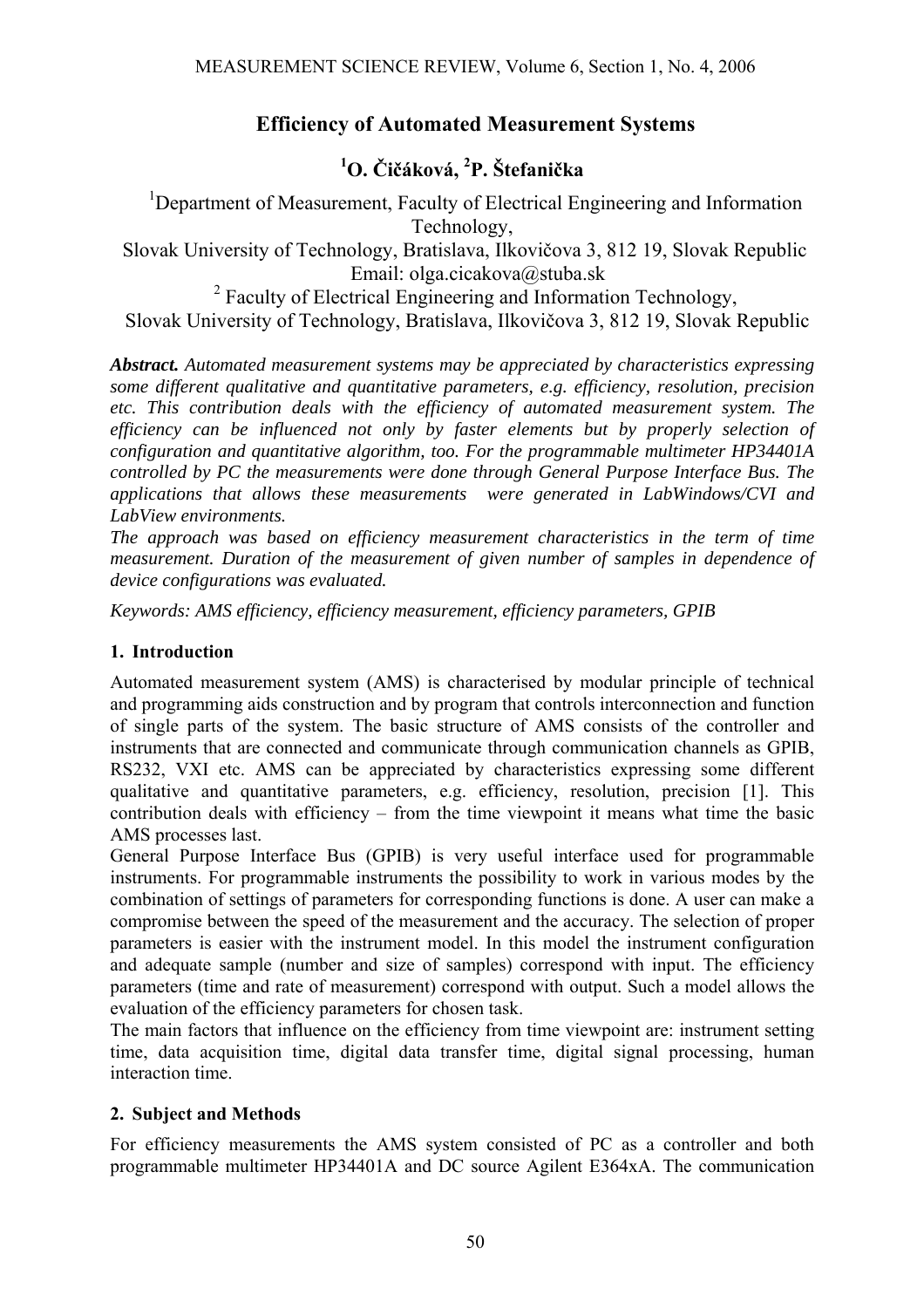## **Efficiency of Automated Measurement Systems**

# **1 O. Čičáková, 2 P. Štefanička**

<sup>1</sup>Department of Measurement, Faculty of Electrical Engineering and Information Technology,

 Slovak University of Technology, Bratislava, Ilkovičova 3, 812 19, Slovak Republic Email: olga.cicakova@stuba.sk

<sup>2</sup> Faculty of Electrical Engineering and Information Technology, Slovak University of Technology, Bratislava, Ilkovičova 3, 812 19, Slovak Republic

*Abstract. Automated measurement systems may be appreciated by characteristics expressing some different qualitative and quantitative parameters, e.g. efficiency, resolution, precision etc. This contribution deals with the efficiency of automated measurement system. The efficiency can be influenced not only by faster elements but by properly selection of configuration and quantitative algorithm, too. For the programmable multimeter HP34401A controlled by PC the measurements were done through General Purpose Interface Bus. The applications that allows these measurements were generated in LabWindows/CVI and LabView environments.* 

*The approach was based on efficiency measurement characteristics in the term of time measurement. Duration of the measurement of given number of samples in dependence of device configurations was evaluated.* 

*Keywords: AMS efficiency, efficiency measurement, efficiency parameters, GPIB* 

### **1. Introduction**

Automated measurement system (AMS) is characterised by modular principle of technical and programming aids construction and by program that controls interconnection and function of single parts of the system. The basic structure of AMS consists of the controller and instruments that are connected and communicate through communication channels as GPIB, RS232, VXI etc. AMS can be appreciated by characteristics expressing some different qualitative and quantitative parameters, e.g. efficiency, resolution, precision [1]. This contribution deals with efficiency – from the time viewpoint it means what time the basic AMS processes last.

General Purpose Interface Bus (GPIB) is very useful interface used for programmable instruments. For programmable instruments the possibility to work in various modes by the combination of settings of parameters for corresponding functions is done. A user can make a compromise between the speed of the measurement and the accuracy. The selection of proper parameters is easier with the instrument model. In this model the instrument configuration and adequate sample (number and size of samples) correspond with input. The efficiency parameters (time and rate of measurement) correspond with output. Such a model allows the evaluation of the efficiency parameters for chosen task.

The main factors that influence on the efficiency from time viewpoint are: instrument setting time, data acquisition time, digital data transfer time, digital signal processing, human interaction time.

#### **2. Subject and Methods**

For efficiency measurements the AMS system consisted of PC as a controller and both programmable multimeter HP34401A and DC source Agilent E364xA. The communication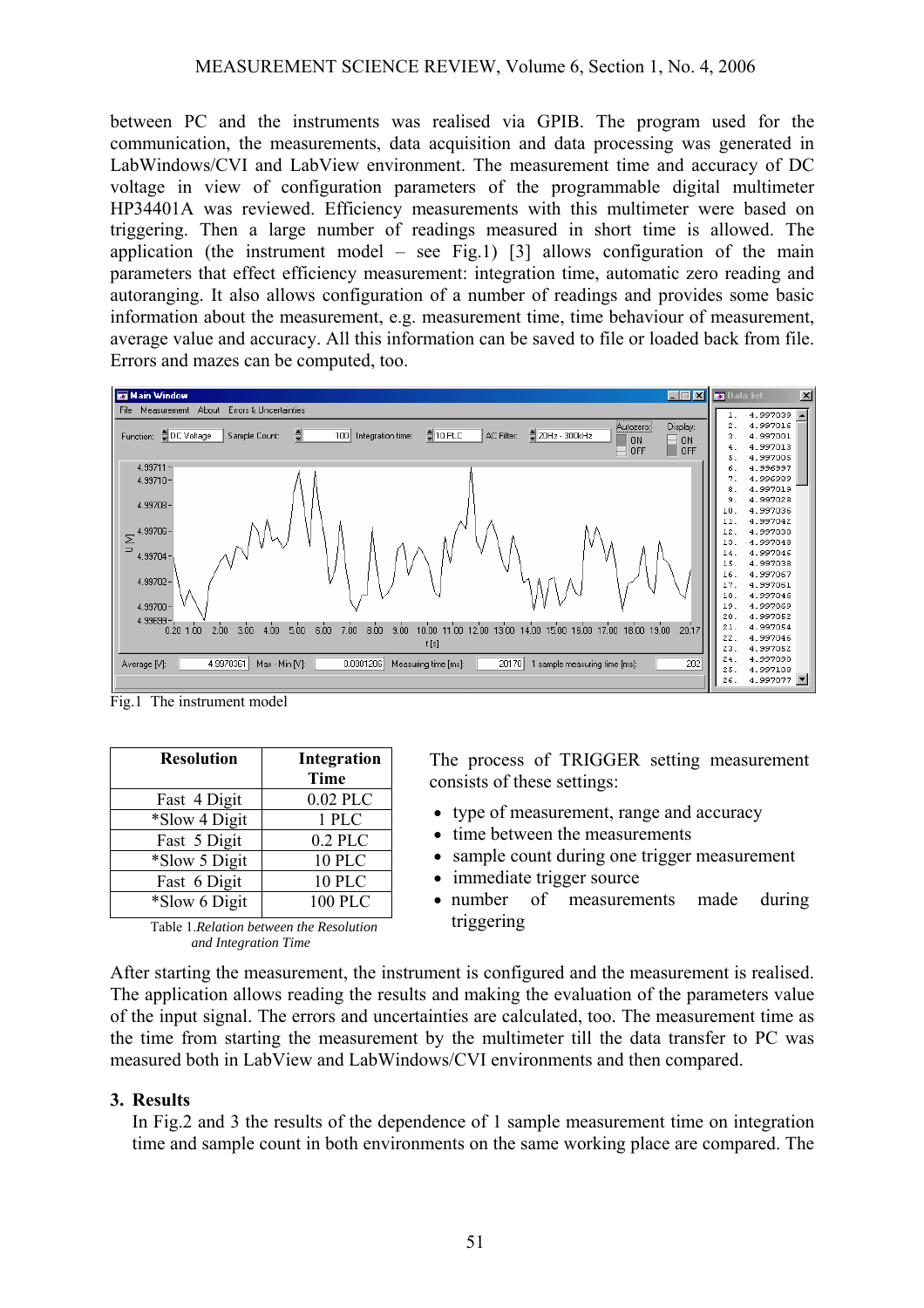between PC and the instruments was realised via GPIB. The program used for the communication, the measurements, data acquisition and data processing was generated in LabWindows/CVI and LabView environment. The measurement time and accuracy of DC voltage in view of configuration parameters of the programmable digital multimeter HP34401A was reviewed. Efficiency measurements with this multimeter were based on triggering. Then a large number of readings measured in short time is allowed. The application (the instrument model – see Fig.1) [3] allows configuration of the main parameters that effect efficiency measurement: integration time, automatic zero reading and autoranging. It also allows configuration of a number of readings and provides some basic information about the measurement, e.g. measurement time, time behaviour of measurement, average value and accuracy. All this information can be saved to file or loaded back from file. Errors and mazes can be computed, too.



Fig.1 The instrument model

| <b>Resolution</b> | Integration    |
|-------------------|----------------|
|                   | <b>Time</b>    |
| Fast 4 Digit      | 0.02 PLC       |
| *Slow 4 Digit     | 1 PLC          |
| Fast 5 Digit      | $0.2$ PLC      |
| *Slow 5 Digit     | 10 PLC         |
| Fast 6 Digit      | 10 PLC         |
| *Slow 6 Digit     | <b>100 PLC</b> |



The process of TRIGGER setting measurement consists of these settings:

- type of measurement, range and accuracy
- time between the measurements
- sample count during one trigger measurement
- immediate trigger source
- number of measurements made during triggering

After starting the measurement, the instrument is configured and the measurement is realised. The application allows reading the results and making the evaluation of the parameters value of the input signal. The errors and uncertainties are calculated, too. The measurement time as the time from starting the measurement by the multimeter till the data transfer to PC was measured both in LabView and LabWindows/CVI environments and then compared.

#### **3. Results**

In Fig.2 and 3 the results of the dependence of 1 sample measurement time on integration time and sample count in both environments on the same working place are compared. The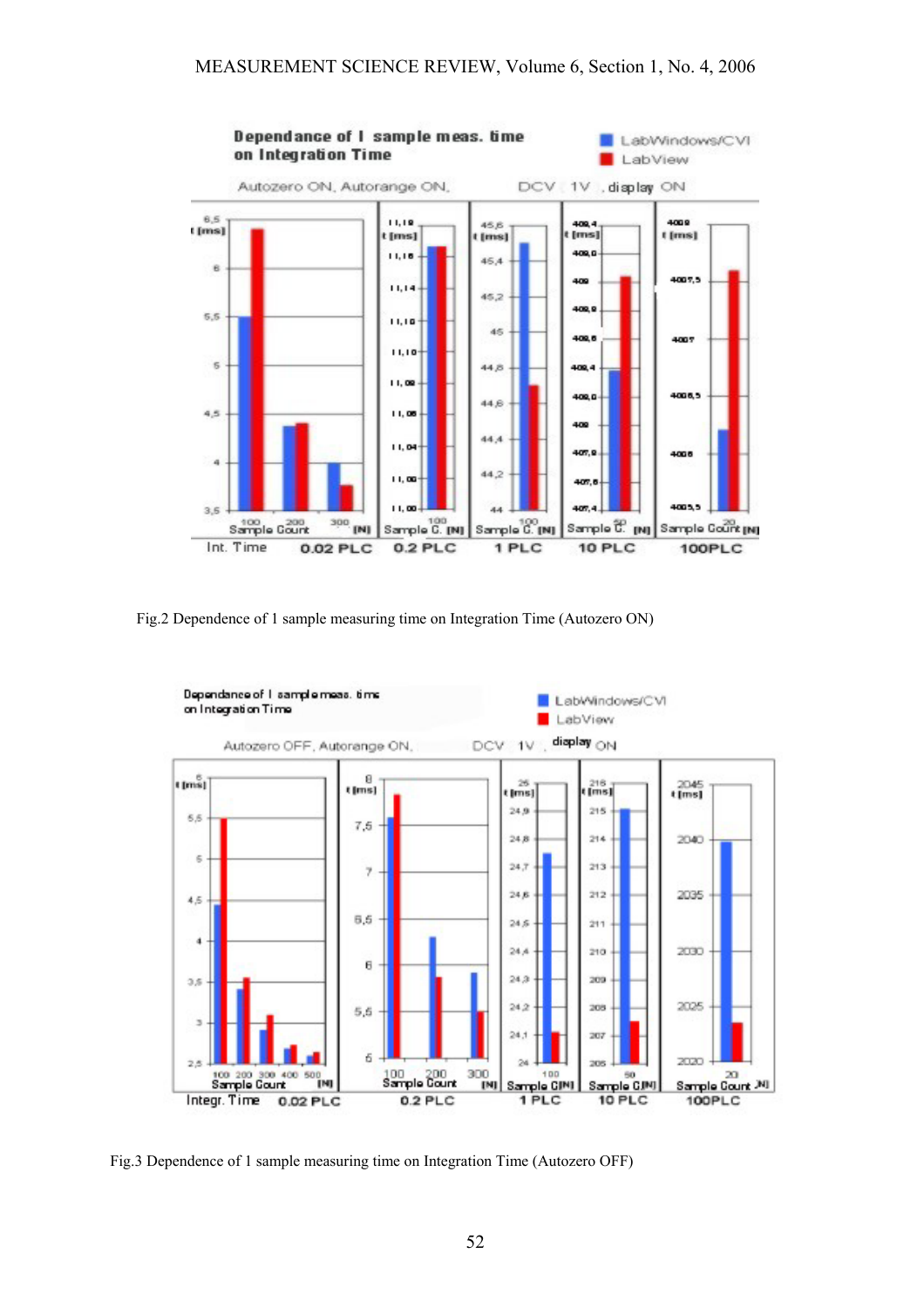

Fig.2 Dependence of 1 sample measuring time on Integration Time (Autozero ON)



Fig.3 Dependence of 1 sample measuring time on Integration Time (Autozero OFF)